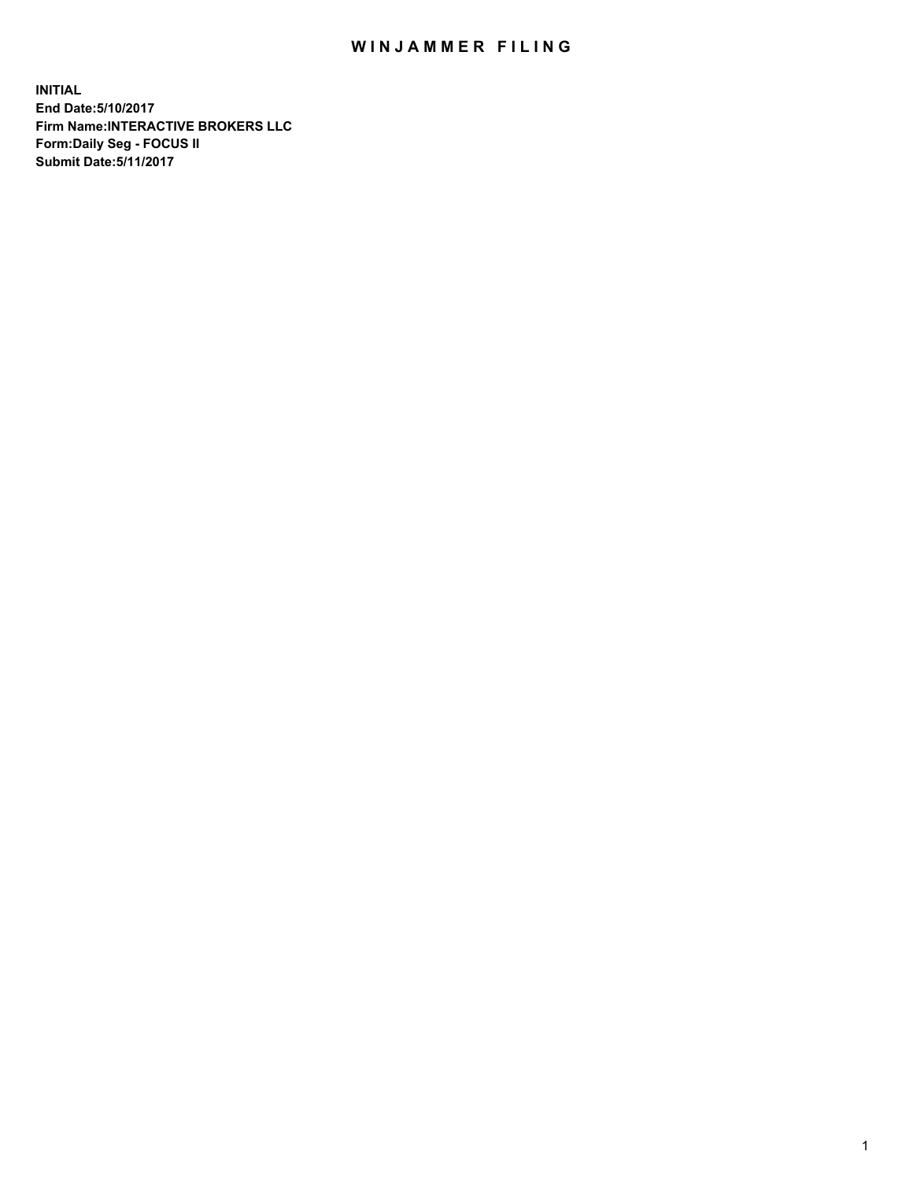## WIN JAMMER FILING

**INITIAL End Date:5/10/2017 Firm Name:INTERACTIVE BROKERS LLC Form:Daily Seg - FOCUS II Submit Date:5/11/2017**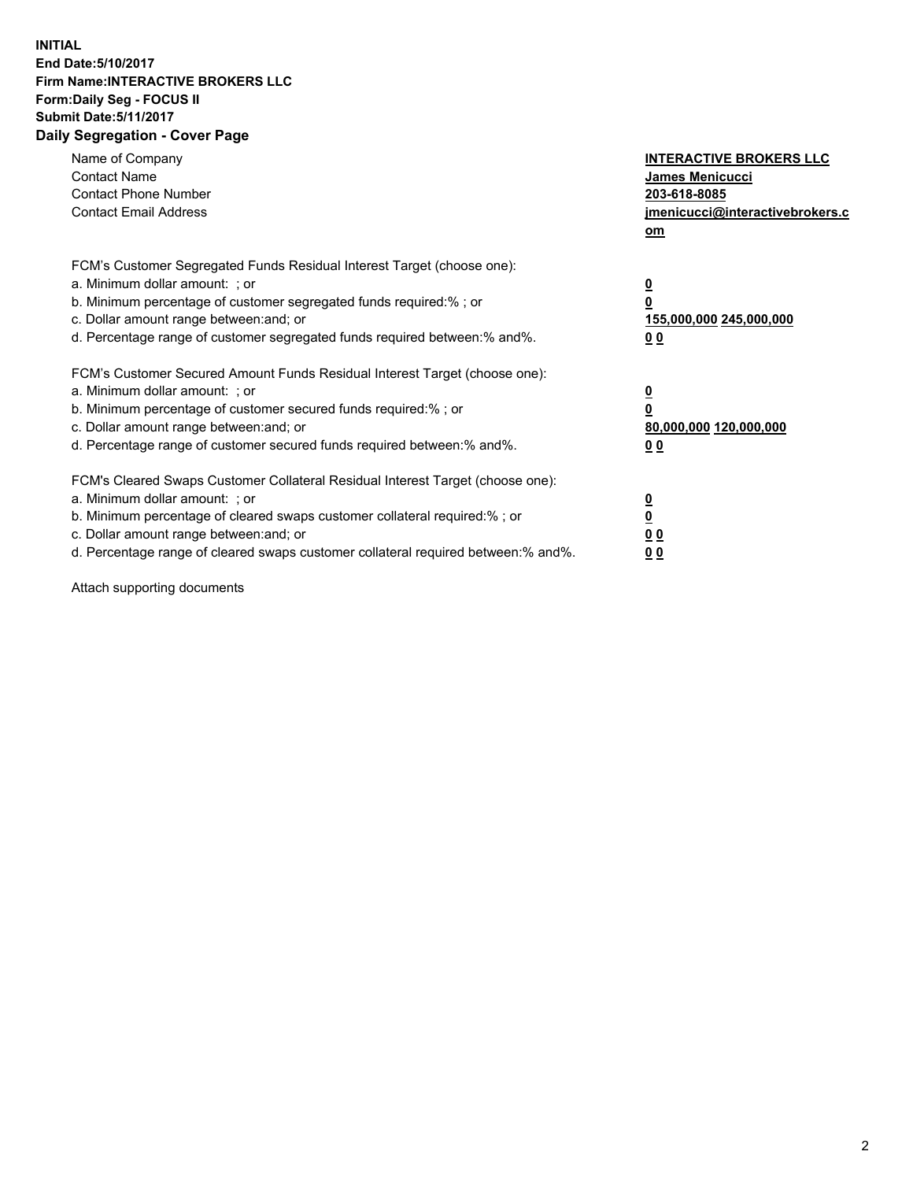## **INITIAL End Date:5/10/2017 Firm Name:INTERACTIVE BROKERS LLC Form:Daily Seg - FOCUS II Submit Date:5/11/2017 Daily Segregation - Cover Page**

| Name of Company<br><b>Contact Name</b><br><b>Contact Phone Number</b><br><b>Contact Email Address</b>                                                                                                                                                                                                                          | <b>INTERACTIVE BROKERS LLC</b><br>James Menicucci<br>203-618-8085<br>jmenicucci@interactivebrokers.c<br>om |
|--------------------------------------------------------------------------------------------------------------------------------------------------------------------------------------------------------------------------------------------------------------------------------------------------------------------------------|------------------------------------------------------------------------------------------------------------|
| FCM's Customer Segregated Funds Residual Interest Target (choose one):<br>a. Minimum dollar amount: ; or<br>b. Minimum percentage of customer segregated funds required:%; or<br>c. Dollar amount range between: and; or<br>d. Percentage range of customer segregated funds required between:% and%.                          | $\overline{\mathbf{0}}$<br>0<br>155,000,000 245,000,000<br>0 <sub>0</sub>                                  |
| FCM's Customer Secured Amount Funds Residual Interest Target (choose one):<br>a. Minimum dollar amount: ; or<br>b. Minimum percentage of customer secured funds required:%; or<br>c. Dollar amount range between: and; or<br>d. Percentage range of customer secured funds required between:% and%.                            | $\overline{\mathbf{0}}$<br>$\overline{\mathbf{0}}$<br>80,000,000 120,000,000<br>00                         |
| FCM's Cleared Swaps Customer Collateral Residual Interest Target (choose one):<br>a. Minimum dollar amount: ; or<br>b. Minimum percentage of cleared swaps customer collateral required:% ; or<br>c. Dollar amount range between: and; or<br>d. Percentage range of cleared swaps customer collateral required between:% and%. | $\overline{\mathbf{0}}$<br>$\overline{\mathbf{0}}$<br>0 <sub>0</sub><br><u>00</u>                          |

Attach supporting documents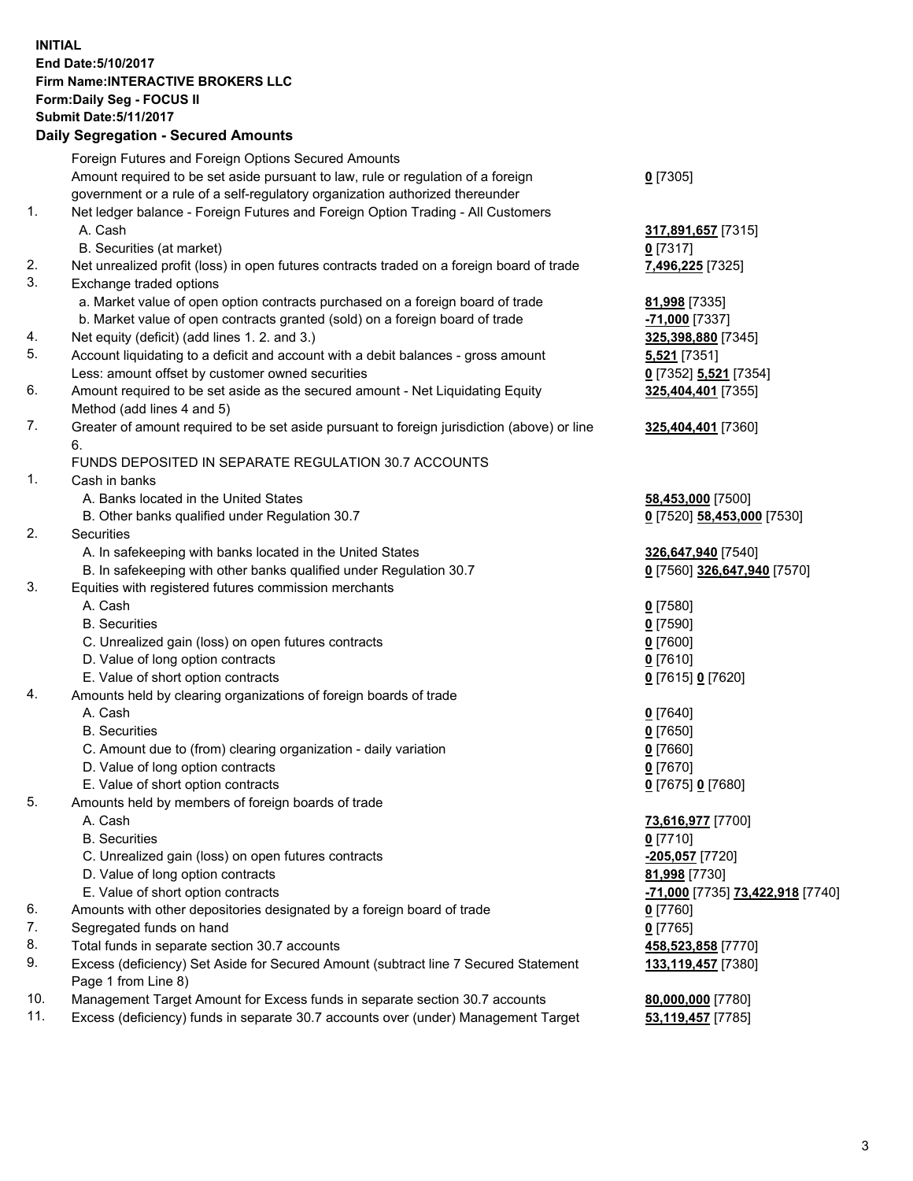## **INITIAL End Date:5/10/2017 Firm Name:INTERACTIVE BROKERS LLC Form:Daily Seg - FOCUS II Submit Date:5/11/2017**

|     | <b>Daily Segregation - Secured Amounts</b>                                                  |                                                      |
|-----|---------------------------------------------------------------------------------------------|------------------------------------------------------|
|     | Foreign Futures and Foreign Options Secured Amounts                                         |                                                      |
|     | Amount required to be set aside pursuant to law, rule or regulation of a foreign            | $0$ [7305]                                           |
|     | government or a rule of a self-regulatory organization authorized thereunder                |                                                      |
| 1.  | Net ledger balance - Foreign Futures and Foreign Option Trading - All Customers             |                                                      |
|     | A. Cash                                                                                     | 317,891,657 [7315]                                   |
|     | B. Securities (at market)                                                                   | $0$ [7317]                                           |
| 2.  | Net unrealized profit (loss) in open futures contracts traded on a foreign board of trade   | 7,496,225 [7325]                                     |
| 3.  | Exchange traded options                                                                     |                                                      |
|     | a. Market value of open option contracts purchased on a foreign board of trade              | 81,998 [7335]                                        |
|     | b. Market value of open contracts granted (sold) on a foreign board of trade                | -71,000 [7337]                                       |
| 4.  | Net equity (deficit) (add lines 1.2. and 3.)                                                | 325,398,880 [7345]                                   |
| 5.  | Account liquidating to a deficit and account with a debit balances - gross amount           | 5,521 [7351]                                         |
|     | Less: amount offset by customer owned securities                                            | 0 [7352] 5,521 [7354]                                |
| 6.  | Amount required to be set aside as the secured amount - Net Liquidating Equity              | 325,404,401 [7355]                                   |
|     | Method (add lines 4 and 5)                                                                  |                                                      |
| 7.  | Greater of amount required to be set aside pursuant to foreign jurisdiction (above) or line | 325,404,401 [7360]                                   |
|     | 6.                                                                                          |                                                      |
|     | FUNDS DEPOSITED IN SEPARATE REGULATION 30.7 ACCOUNTS                                        |                                                      |
| 1.  | Cash in banks                                                                               |                                                      |
|     | A. Banks located in the United States                                                       | 58,453,000 [7500]                                    |
|     | B. Other banks qualified under Regulation 30.7                                              | 0 [7520] 58,453,000 [7530]                           |
| 2.  | Securities                                                                                  |                                                      |
|     | A. In safekeeping with banks located in the United States                                   | 326,647,940 [7540]                                   |
|     | B. In safekeeping with other banks qualified under Regulation 30.7                          | 0 [7560] 326,647,940 [7570]                          |
| 3.  | Equities with registered futures commission merchants                                       |                                                      |
|     | A. Cash                                                                                     | $0$ [7580]                                           |
|     | <b>B.</b> Securities                                                                        | $0$ [7590]                                           |
|     | C. Unrealized gain (loss) on open futures contracts                                         | $0$ [7600]                                           |
|     | D. Value of long option contracts                                                           | $0$ [7610]                                           |
|     | E. Value of short option contracts                                                          | 0 [7615] 0 [7620]                                    |
| 4.  | Amounts held by clearing organizations of foreign boards of trade                           |                                                      |
|     | A. Cash                                                                                     | $0$ [7640]                                           |
|     | <b>B.</b> Securities                                                                        | $0$ [7650]                                           |
|     | C. Amount due to (from) clearing organization - daily variation                             | $0$ [7660]                                           |
|     | D. Value of long option contracts                                                           | $0$ [7670]                                           |
|     | E. Value of short option contracts                                                          | 0 [7675] 0 [7680]                                    |
| 5.  | Amounts held by members of foreign boards of trade                                          |                                                      |
|     | A. Cash                                                                                     | 73,616,977 [7700]                                    |
|     | <b>B.</b> Securities                                                                        | $0$ [7710]                                           |
|     | C. Unrealized gain (loss) on open futures contracts                                         | -205,057 [7720]                                      |
|     | D. Value of long option contracts                                                           | 81,998 [7730]                                        |
|     | E. Value of short option contracts                                                          | <mark>-71,000</mark> [7735] <b>73,422,918</b> [7740] |
| 6.  | Amounts with other depositories designated by a foreign board of trade                      | $0$ [7760]                                           |
| 7.  | Segregated funds on hand                                                                    | $0$ [7765]                                           |
| 8.  | Total funds in separate section 30.7 accounts                                               | 458,523,858 [7770]                                   |
| 9.  | Excess (deficiency) Set Aside for Secured Amount (subtract line 7 Secured Statement         | 133,119,457 [7380]                                   |
|     | Page 1 from Line 8)                                                                         |                                                      |
| 10. | Management Target Amount for Excess funds in separate section 30.7 accounts                 | 80,000,000 [7780]                                    |
| 11. | Excess (deficiency) funds in separate 30.7 accounts over (under) Management Target          | 53,119,457 [7785]                                    |
|     |                                                                                             |                                                      |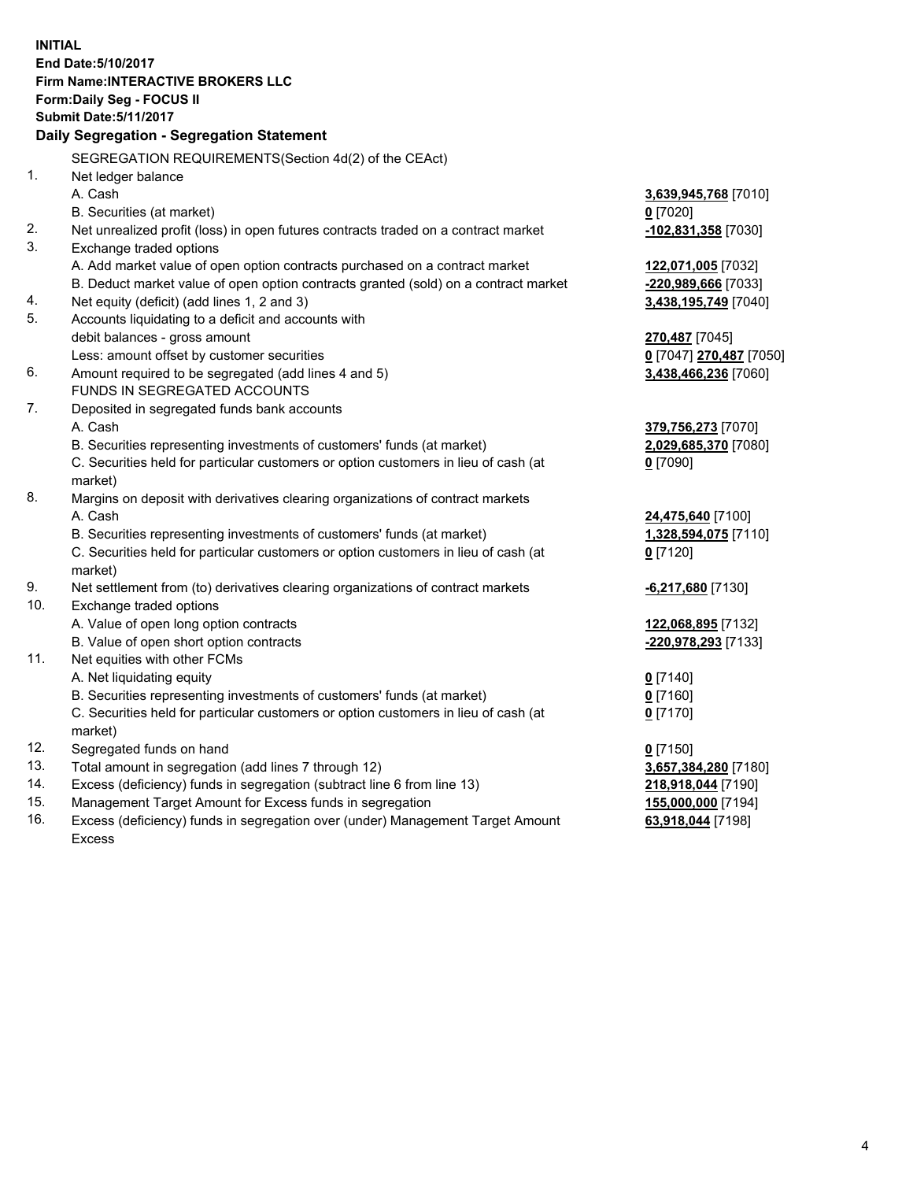**INITIAL End Date:5/10/2017 Firm Name:INTERACTIVE BROKERS LLC Form:Daily Seg - FOCUS II Submit Date:5/11/2017 Daily Segregation - Segregation Statement** SEGREGATION REQUIREMENTS(Section 4d(2) of the CEAct) 1. Net ledger balance A. Cash **3,639,945,768** [7010] B. Securities (at market) **0** [7020] 2. Net unrealized profit (loss) in open futures contracts traded on a contract market **-102,831,358** [7030] 3. Exchange traded options A. Add market value of open option contracts purchased on a contract market **122,071,005** [7032] B. Deduct market value of open option contracts granted (sold) on a contract market **-220,989,666** [7033] 4. Net equity (deficit) (add lines 1, 2 and 3) **3,438,195,749** [7040] 5. Accounts liquidating to a deficit and accounts with debit balances - gross amount **270,487** [7045] Less: amount offset by customer securities **0** [7047] **270,487** [7050] 6. Amount required to be segregated (add lines 4 and 5) **3,438,466,236** [7060] FUNDS IN SEGREGATED ACCOUNTS 7. Deposited in segregated funds bank accounts A. Cash **379,756,273** [7070] B. Securities representing investments of customers' funds (at market) **2,029,685,370** [7080] C. Securities held for particular customers or option customers in lieu of cash (at market) **0** [7090] 8. Margins on deposit with derivatives clearing organizations of contract markets A. Cash **24,475,640** [7100] B. Securities representing investments of customers' funds (at market) **1,328,594,075** [7110] C. Securities held for particular customers or option customers in lieu of cash (at market) **0** [7120] 9. Net settlement from (to) derivatives clearing organizations of contract markets **-6,217,680** [7130] 10. Exchange traded options A. Value of open long option contracts **122,068,895** [7132] B. Value of open short option contracts **-220,978,293** [7133] 11. Net equities with other FCMs A. Net liquidating equity **0** [7140] B. Securities representing investments of customers' funds (at market) **0** [7160] C. Securities held for particular customers or option customers in lieu of cash (at market) **0** [7170] 12. Segregated funds on hand **0** [7150] 13. Total amount in segregation (add lines 7 through 12) **3,657,384,280** [7180] 14. Excess (deficiency) funds in segregation (subtract line 6 from line 13) **218,918,044** [7190] 15. Management Target Amount for Excess funds in segregation **155,000,000** [7194]

16. Excess (deficiency) funds in segregation over (under) Management Target Amount Excess

**63,918,044** [7198]